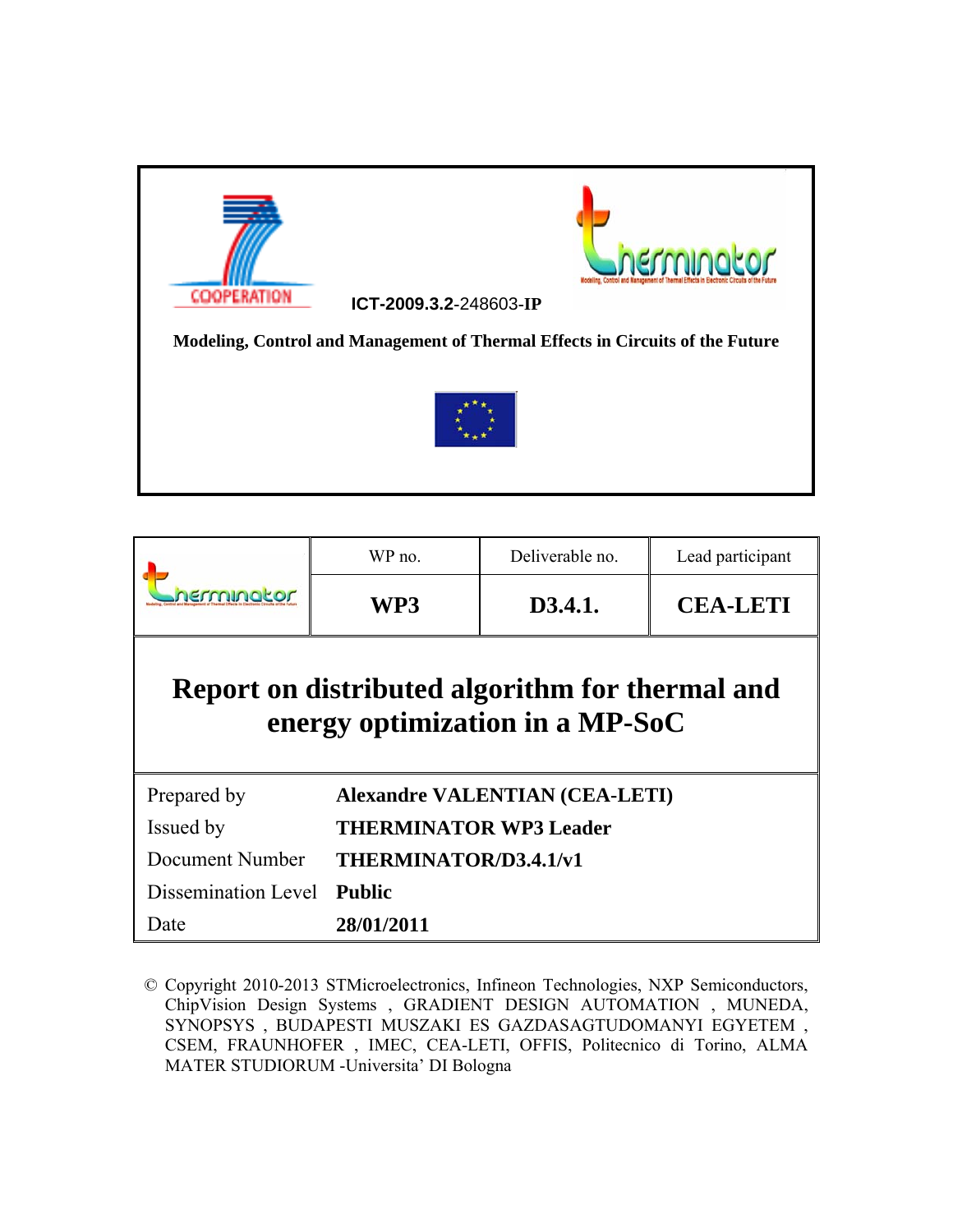



 **ICT-2009.3.2-**248603**-IP** 

**Modeling, Control and Management of Thermal Effects in Circuits of the Future** 



|                                                                                    | Deliverable no.<br>WP no.             |  | Lead participant |  |  |  |  |  |
|------------------------------------------------------------------------------------|---------------------------------------|--|------------------|--|--|--|--|--|
| rerminator                                                                         | WP3<br>D <sub>3</sub> .4.1.           |  | <b>CEA-LETI</b>  |  |  |  |  |  |
| Report on distributed algorithm for thermal and<br>energy optimization in a MP-SoC |                                       |  |                  |  |  |  |  |  |
| Prepared by                                                                        | <b>Alexandre VALENTIAN (CEA-LETI)</b> |  |                  |  |  |  |  |  |
| Issued by                                                                          | <b>THERMINATOR WP3 Leader</b>         |  |                  |  |  |  |  |  |
| Document Number                                                                    | THERMINATOR/D3.4.1/v1                 |  |                  |  |  |  |  |  |
| Dissemination Level                                                                | <b>Public</b>                         |  |                  |  |  |  |  |  |
| Date                                                                               | 28/01/2011                            |  |                  |  |  |  |  |  |

<sup>©</sup> Copyright 2010-2013 STMicroelectronics, Infineon Technologies, NXP Semiconductors, ChipVision Design Systems , GRADIENT DESIGN AUTOMATION , MUNEDA, SYNOPSYS , BUDAPESTI MUSZAKI ES GAZDASAGTUDOMANYI EGYETEM , CSEM, FRAUNHOFER , IMEC, CEA-LETI, OFFIS, Politecnico di Torino, ALMA MATER STUDIORUM -Universita' DI Bologna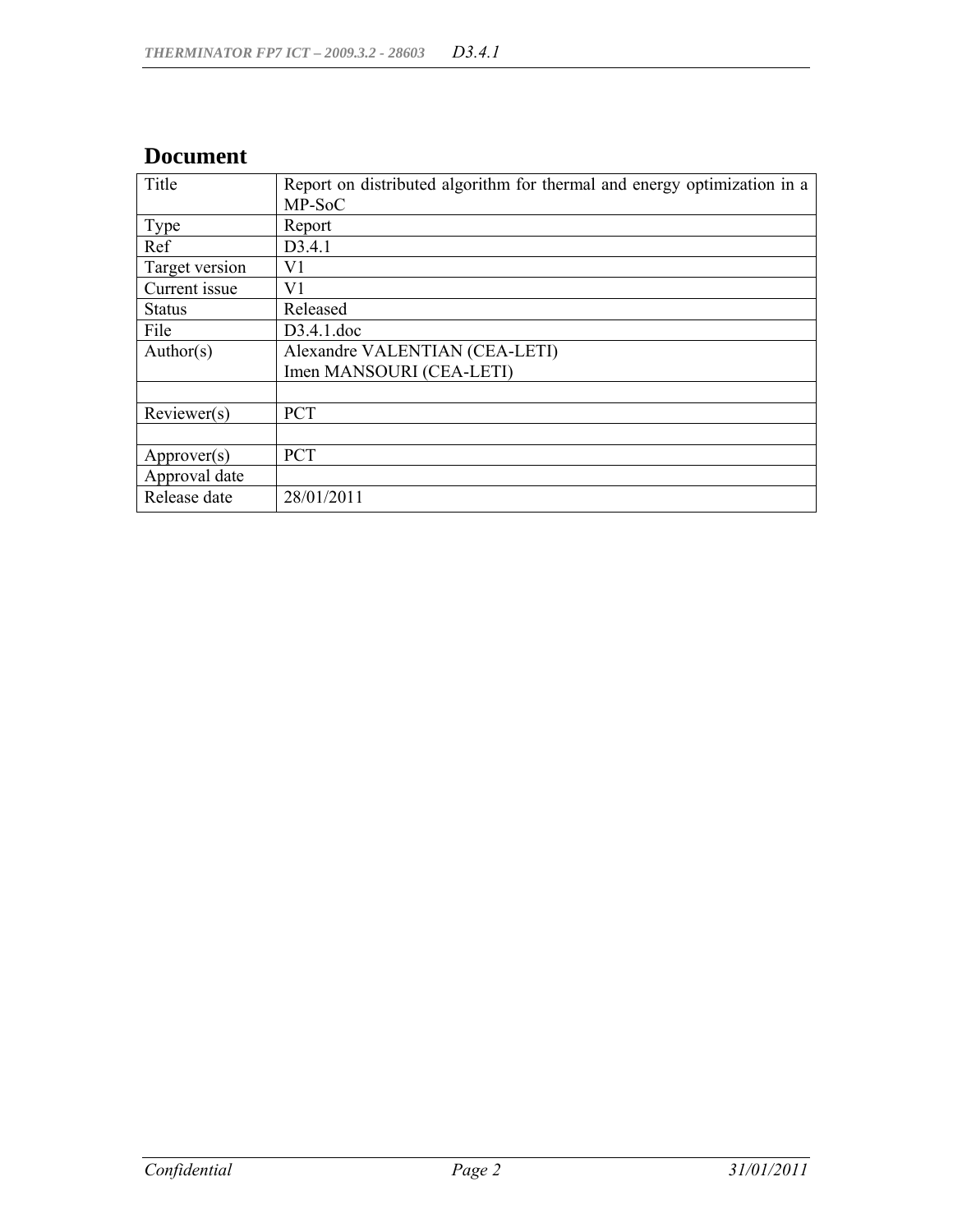## **Document**

| Title          | Report on distributed algorithm for thermal and energy optimization in a<br>MP-SoC |  |  |  |  |
|----------------|------------------------------------------------------------------------------------|--|--|--|--|
| Type           | Report                                                                             |  |  |  |  |
| Ref            | D3.4.1                                                                             |  |  |  |  |
| Target version | V1                                                                                 |  |  |  |  |
| Current issue  | V <sub>1</sub>                                                                     |  |  |  |  |
| <b>Status</b>  | Released                                                                           |  |  |  |  |
| File           | $D3.4.1$ .doc                                                                      |  |  |  |  |
| Author(s)      | Alexandre VALENTIAN (CEA-LETI)                                                     |  |  |  |  |
|                | Imen MANSOURI (CEA-LETI)                                                           |  |  |  |  |
|                |                                                                                    |  |  |  |  |
| Reviewer(s)    | <b>PCT</b>                                                                         |  |  |  |  |
|                |                                                                                    |  |  |  |  |
| Approxer(s)    | <b>PCT</b>                                                                         |  |  |  |  |
| Approval date  |                                                                                    |  |  |  |  |
| Release date   | 28/01/2011                                                                         |  |  |  |  |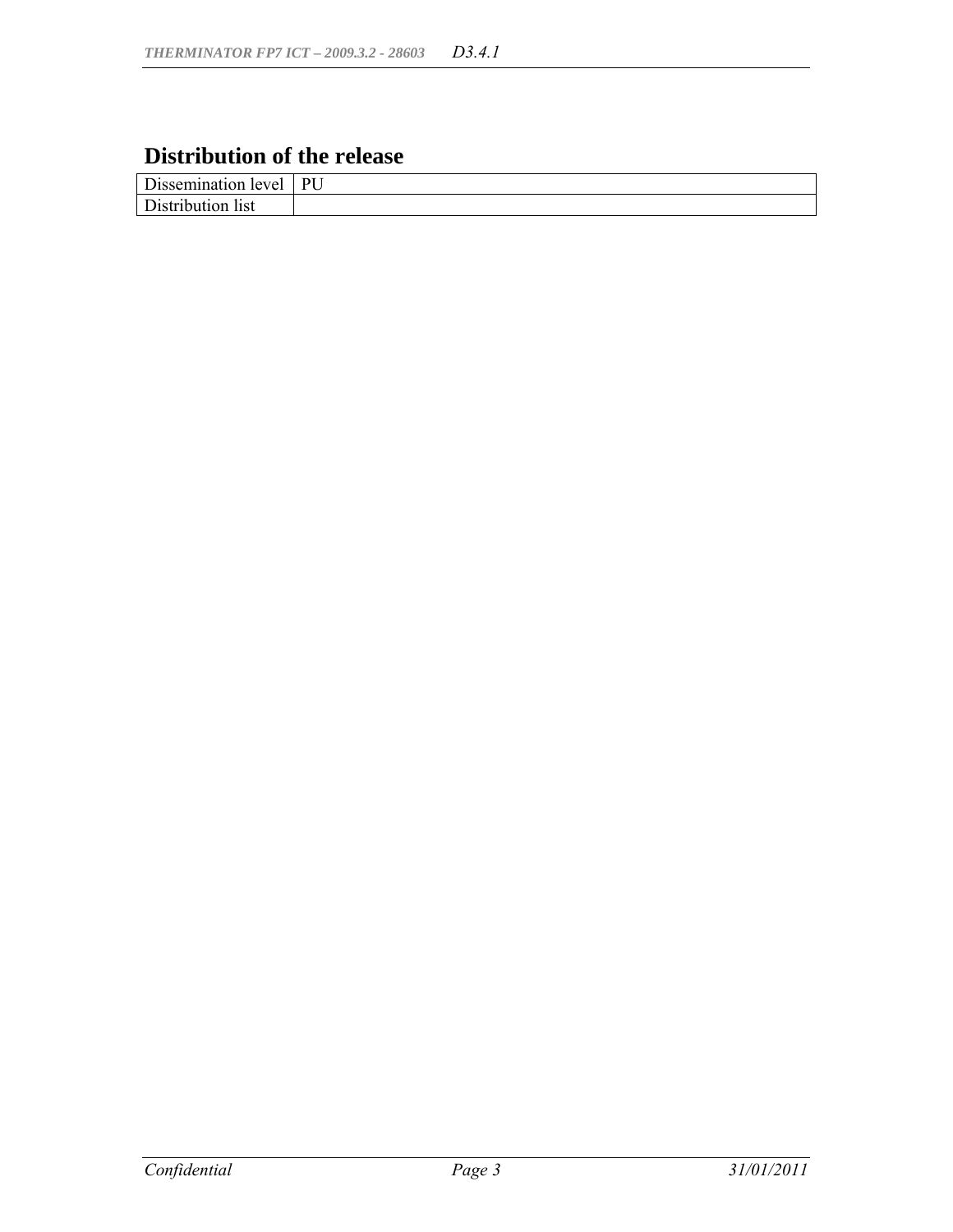# **Distribution of the release**

| Dissemination level   PU |  |
|--------------------------|--|
| Distribution list        |  |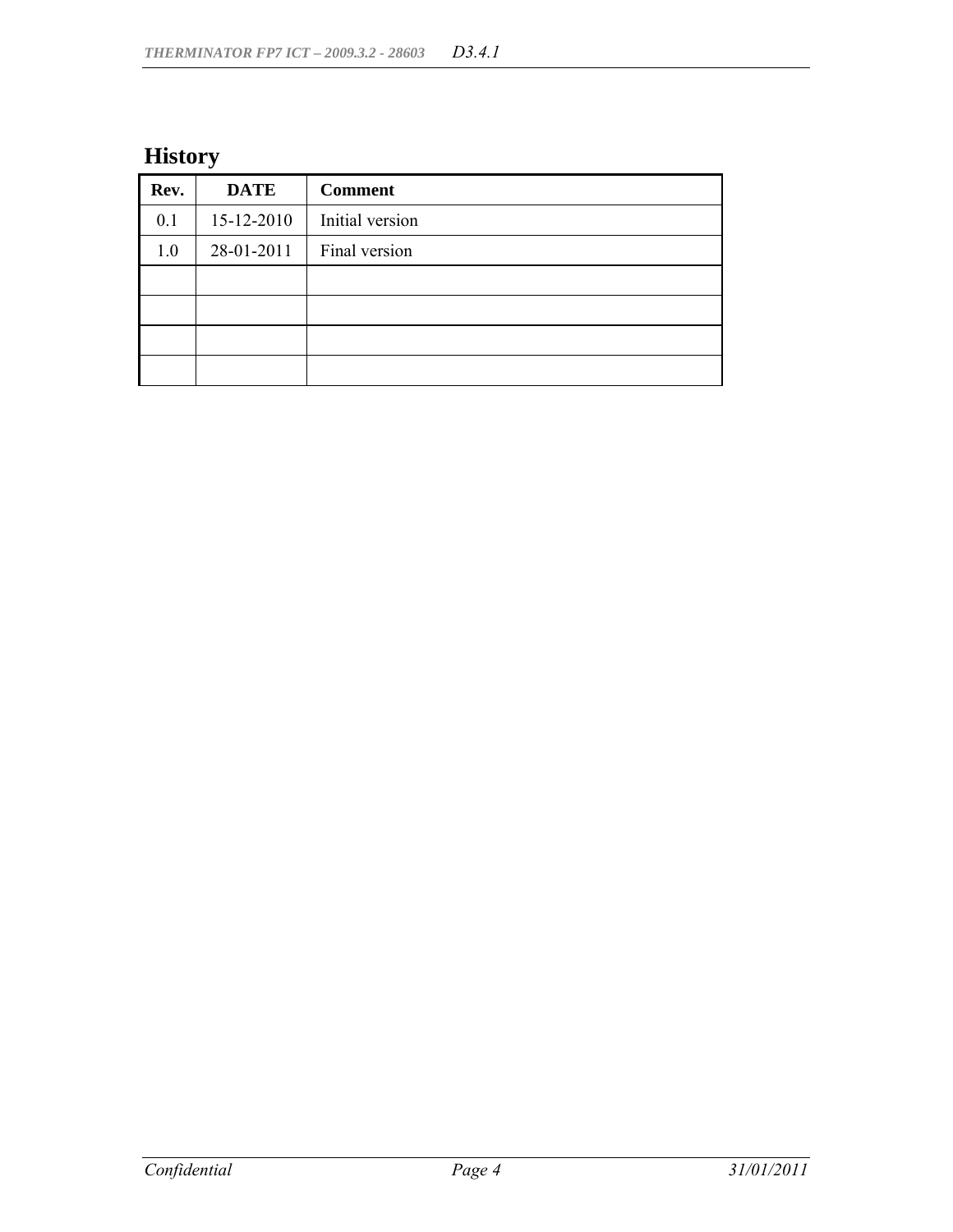# **History**

| Rev. | <b>DATE</b> | <b>Comment</b>  |
|------|-------------|-----------------|
| 0.1  | 15-12-2010  | Initial version |
| 1.0  | 28-01-2011  | Final version   |
|      |             |                 |
|      |             |                 |
|      |             |                 |
|      |             |                 |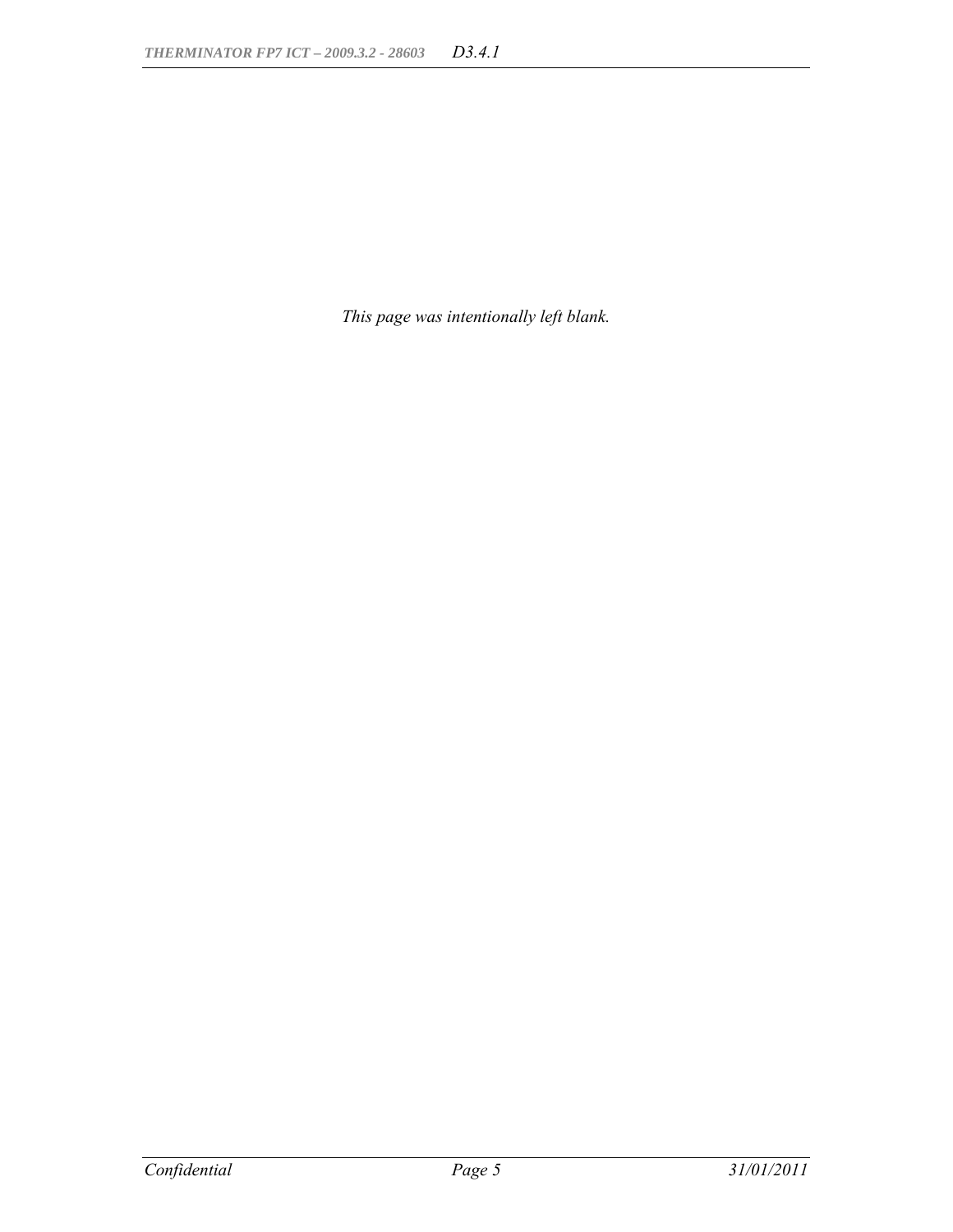*This page was intentionally left blank.*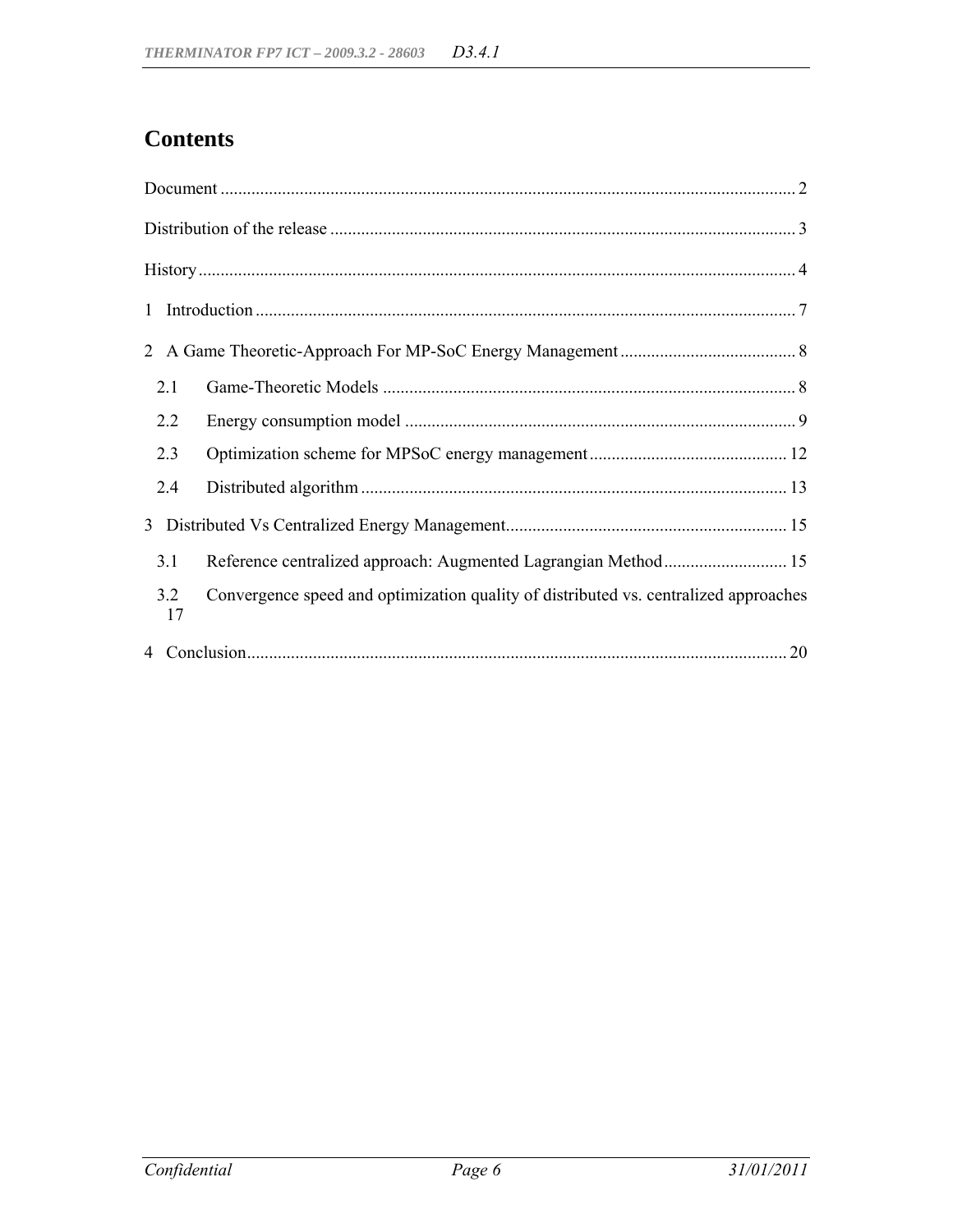# **Contents**

| 2.1                                                                                               |
|---------------------------------------------------------------------------------------------------|
| 2.2                                                                                               |
| 2.3                                                                                               |
| 2.4                                                                                               |
|                                                                                                   |
| Reference centralized approach: Augmented Lagrangian Method 15<br>3.1                             |
| 3.2<br>Convergence speed and optimization quality of distributed vs. centralized approaches<br>17 |
|                                                                                                   |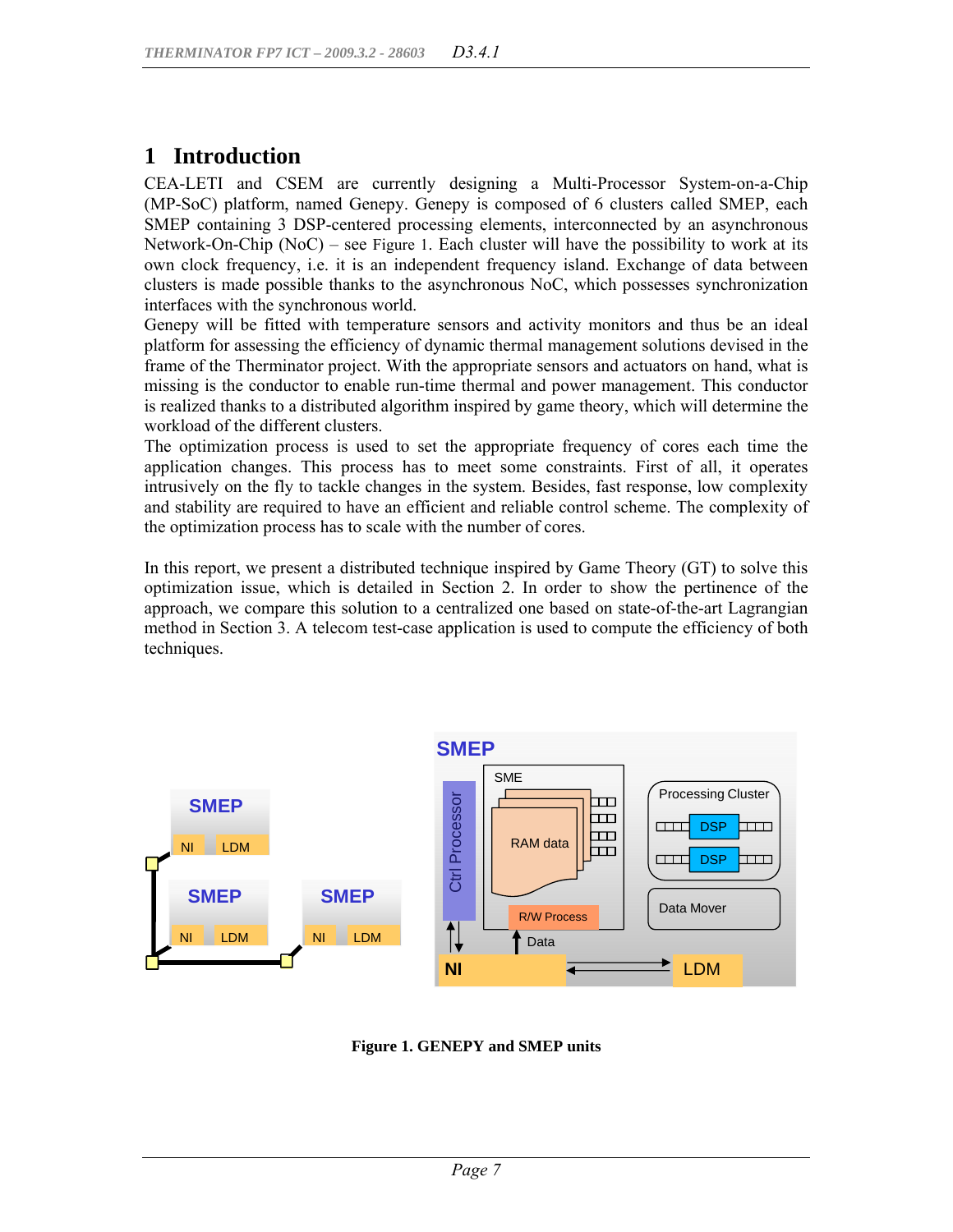## **1 Introduction**

CEA-LETI and CSEM are currently designing a Multi-Processor System-on-a-Chip (MP-SoC) platform, named Genepy. Genepy is composed of 6 clusters called SMEP, each SMEP containing 3 DSP-centered processing elements, interconnected by an asynchronous Network-On-Chip  $(NoC)$  – see Figure 1. Each cluster will have the possibility to work at its own clock frequency, i.e. it is an independent frequency island. Exchange of data between clusters is made possible thanks to the asynchronous NoC, which possesses synchronization interfaces with the synchronous world.

Genepy will be fitted with temperature sensors and activity monitors and thus be an ideal platform for assessing the efficiency of dynamic thermal management solutions devised in the frame of the Therminator project. With the appropriate sensors and actuators on hand, what is missing is the conductor to enable run-time thermal and power management. This conductor is realized thanks to a distributed algorithm inspired by game theory, which will determine the workload of the different clusters.

The optimization process is used to set the appropriate frequency of cores each time the application changes. This process has to meet some constraints. First of all, it operates intrusively on the fly to tackle changes in the system. Besides, fast response, low complexity and stability are required to have an efficient and reliable control scheme. The complexity of the optimization process has to scale with the number of cores.

In this report, we present a distributed technique inspired by Game Theory (GT) to solve this optimization issue, which is detailed in Section 2. In order to show the pertinence of the approach, we compare this solution to a centralized one based on state-of-the-art Lagrangian method in Section 3. A telecom test-case application is used to compute the efficiency of both techniques.



**Figure 1. GENEPY and SMEP units**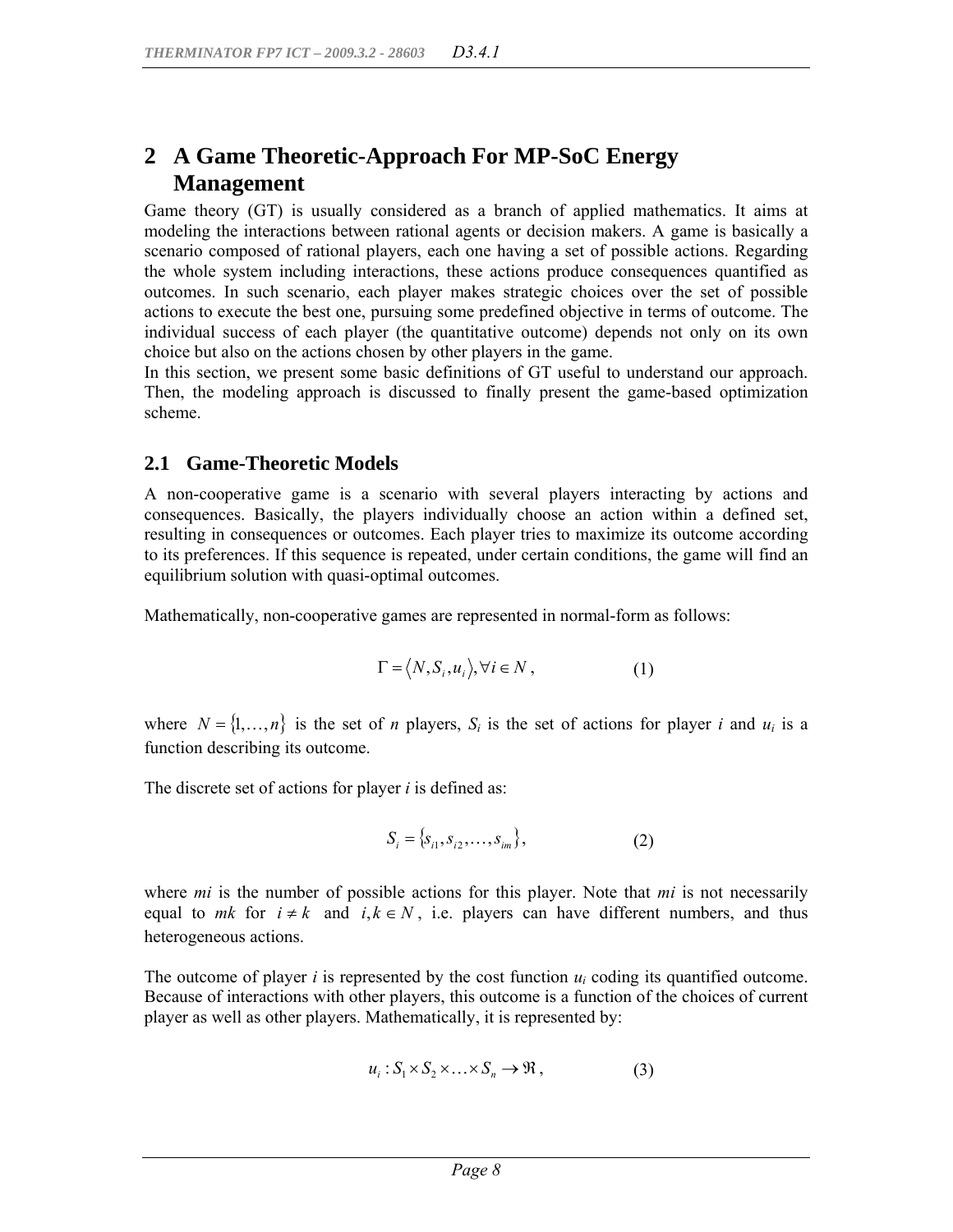### **2 A Game Theoretic-Approach For MP-SoC Energy Management**

Game theory (GT) is usually considered as a branch of applied mathematics. It aims at modeling the interactions between rational agents or decision makers. A game is basically a scenario composed of rational players, each one having a set of possible actions. Regarding the whole system including interactions, these actions produce consequences quantified as outcomes. In such scenario, each player makes strategic choices over the set of possible actions to execute the best one, pursuing some predefined objective in terms of outcome. The individual success of each player (the quantitative outcome) depends not only on its own choice but also on the actions chosen by other players in the game.

In this section, we present some basic definitions of GT useful to understand our approach. Then, the modeling approach is discussed to finally present the game-based optimization scheme.

#### **2.1 Game-Theoretic Models**

A non-cooperative game is a scenario with several players interacting by actions and consequences. Basically, the players individually choose an action within a defined set, resulting in consequences or outcomes. Each player tries to maximize its outcome according to its preferences. If this sequence is repeated, under certain conditions, the game will find an equilibrium solution with quasi-optimal outcomes.

Mathematically, non-cooperative games are represented in normal-form as follows:

$$
\Gamma = \langle N, S_i, u_i \rangle, \forall i \in N, \tag{1}
$$

where  $N = \{1, \ldots, n\}$  is the set of *n* players,  $S_i$  is the set of actions for player *i* and  $u_i$  is a function describing its outcome.

The discrete set of actions for player *i* is defined as:

$$
S_i = \{s_{i1}, s_{i2}, \dots, s_{im}\},\tag{2}
$$

where *mi* is the number of possible actions for this player. Note that *mi* is not necessarily equal to *mk* for  $i \neq k$  and  $i, k \in N$ , i.e. players can have different numbers, and thus heterogeneous actions.

The outcome of player *i* is represented by the cost function *ui* coding its quantified outcome. Because of interactions with other players, this outcome is a function of the choices of current player as well as other players. Mathematically, it is represented by:

$$
u_i: S_1 \times S_2 \times \ldots \times S_n \to \mathfrak{R},\tag{3}
$$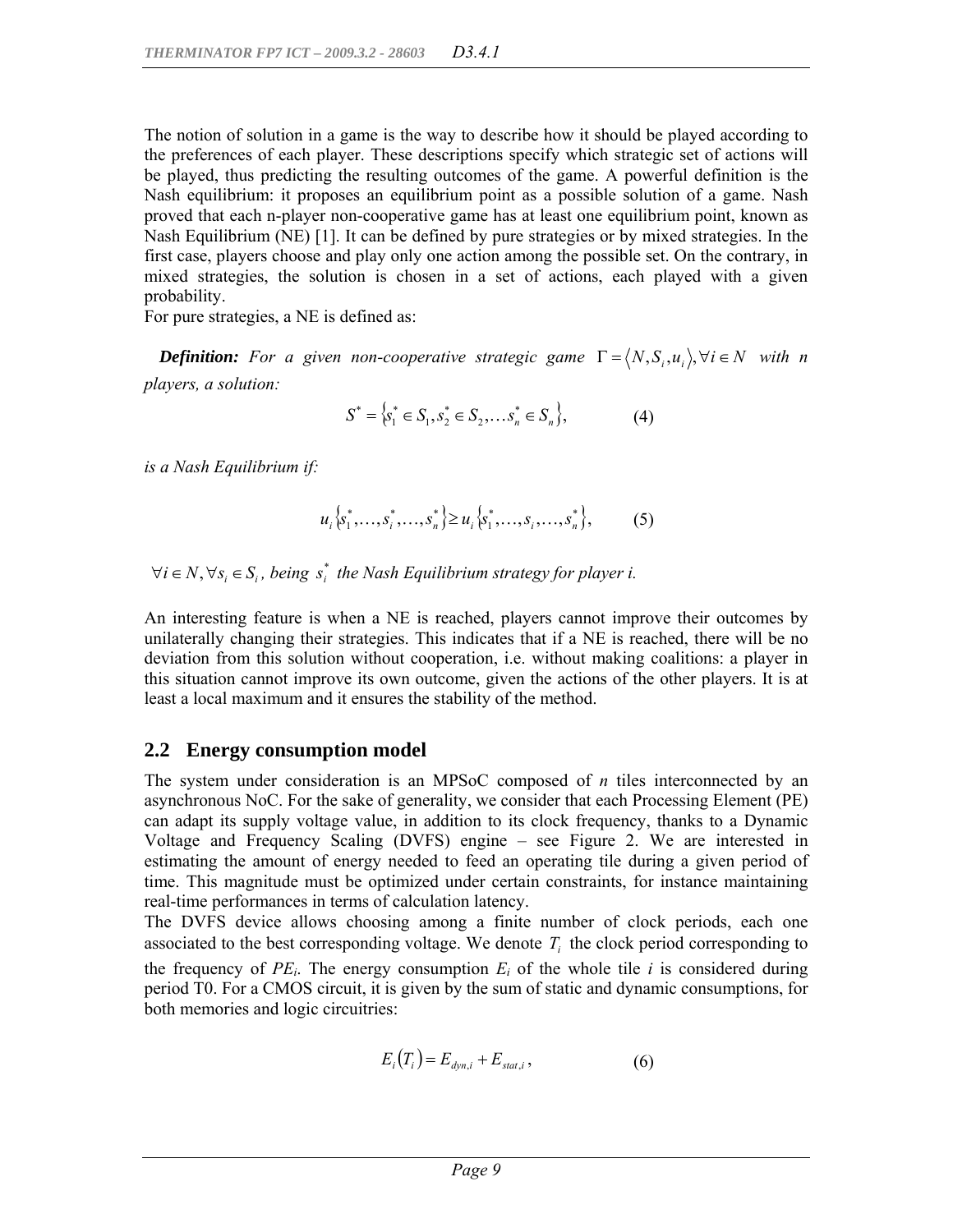The notion of solution in a game is the way to describe how it should be played according to the preferences of each player. These descriptions specify which strategic set of actions will be played, thus predicting the resulting outcomes of the game. A powerful definition is the Nash equilibrium: it proposes an equilibrium point as a possible solution of a game. Nash proved that each n-player non-cooperative game has at least one equilibrium point, known as Nash Equilibrium (NE) [1]. It can be defined by pure strategies or by mixed strategies. In the first case, players choose and play only one action among the possible set. On the contrary, in mixed strategies, the solution is chosen in a set of actions, each played with a given probability.

For pure strategies, a NE is defined as:

*Definition:* For a given non-cooperative strategic game  $\Gamma = \langle N, S_i, u_i \rangle, \forall i \in N$  with n *players, a solution:* 

$$
S^* = \{s_1^* \in S_1, s_2^* \in S_2, \dots s_n^* \in S_n\},\tag{4}
$$

*is a Nash Equilibrium if:* 

$$
u_i\left\{s_1^*,\ldots,s_i^*,\ldots,s_n^*\right\} \geq u_i\left\{s_1^*,\ldots,s_i,\ldots,s_n^*\right\},\tag{5}
$$

 $\forall i \in N, \forall s_i \in S_i$ , being  $s_i^*$  the Nash Equilibrium strategy for player i.

An interesting feature is when a NE is reached, players cannot improve their outcomes by unilaterally changing their strategies. This indicates that if a NE is reached, there will be no deviation from this solution without cooperation, i.e. without making coalitions: a player in this situation cannot improve its own outcome, given the actions of the other players. It is at least a local maximum and it ensures the stability of the method.

#### **2.2 Energy consumption model**

The system under consideration is an MPSoC composed of *n* tiles interconnected by an asynchronous NoC. For the sake of generality, we consider that each Processing Element (PE) can adapt its supply voltage value, in addition to its clock frequency, thanks to a Dynamic Voltage and Frequency Scaling (DVFS) engine – see Figure 2. We are interested in estimating the amount of energy needed to feed an operating tile during a given period of time. This magnitude must be optimized under certain constraints, for instance maintaining real-time performances in terms of calculation latency.

The DVFS device allows choosing among a finite number of clock periods, each one associated to the best corresponding voltage. We denote  $T<sub>i</sub>$  the clock period corresponding to the frequency of  $PE_i$ . The energy consumption  $E_i$  of the whole tile  $i$  is considered during period T0. For a CMOS circuit, it is given by the sum of static and dynamic consumptions, for both memories and logic circuitries:

$$
E_i(T_i) = E_{dyn,i} + E_{stat,i},\tag{6}
$$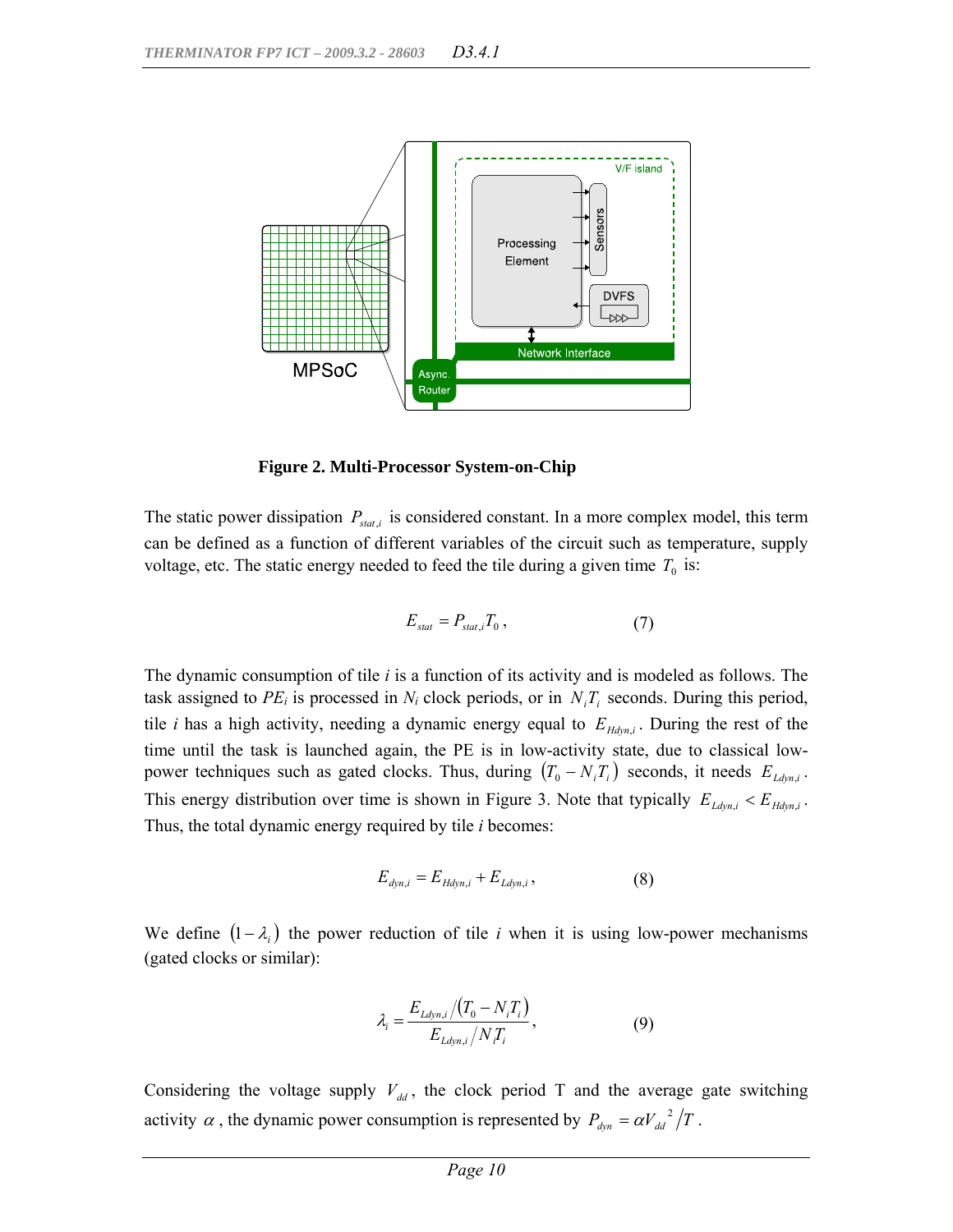

 **Figure 2. Multi-Processor System-on-Chip** 

The static power dissipation  $P_{stat,i}$  is considered constant. In a more complex model, this term can be defined as a function of different variables of the circuit such as temperature, supply voltage, etc. The static energy needed to feed the tile during a given time  $T_0$  is:

$$
E_{stat} = P_{stat,i} T_0 \,, \tag{7}
$$

The dynamic consumption of tile *i* is a function of its activity and is modeled as follows. The task assigned to  $PE_i$  is processed in  $N_i$  clock periods, or in  $N_iT_i$  seconds. During this period, tile *i* has a high activity, needing a dynamic energy equal to  $E_{Hdm,i}$ . During the rest of the time until the task is launched again, the PE is in low-activity state, due to classical lowpower techniques such as gated clocks. Thus, during  $(T_0 - N_i T_i)$  seconds, it needs  $E_{Ldyn,i}$ . This energy distribution over time is shown in Figure 3. Note that typically  $E_{Ldyn,i} < E_{Hdyn,i}$ . Thus, the total dynamic energy required by tile *i* becomes:

$$
E_{dyn,i} = E_{Hdyn,i} + E_{Ldyn,i},\tag{8}
$$

We define  $(1 - \lambda_i)$  the power reduction of tile *i* when it is using low-power mechanisms (gated clocks or similar):

$$
\lambda_i = \frac{E_{Ldyn,i}/(T_0 - N_i T_i)}{E_{Ldyn,i}/N_i T_i},\tag{9}
$$

Considering the voltage supply  $V_{dd}$ , the clock period T and the average gate switching activity  $\alpha$ , the dynamic power consumption is represented by  $P_{dyn} = \alpha V_{dd}^{2}/T$ .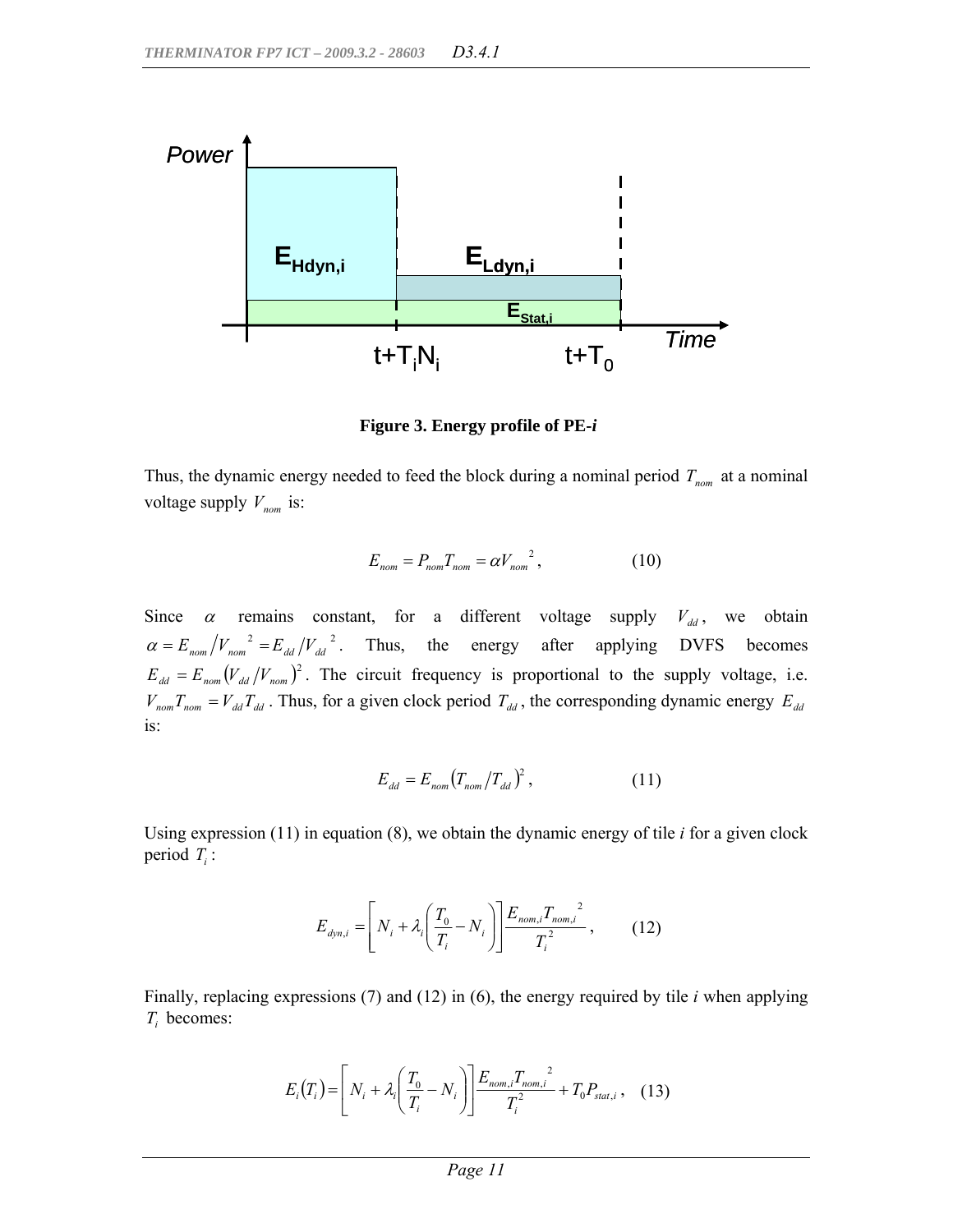

 **Figure 3. Energy profile of PE-***i*

Thus, the dynamic energy needed to feed the block during a nominal period  $T_{nom}$  at a nominal voltage supply  $V_{nom}$  is:

$$
E_{nom} = P_{nom} T_{nom} = \alpha V_{nom}^2, \qquad (10)
$$

Since  $\alpha$  remains constant, for a different voltage supply  $V_{dd}$ , we obtain  $\alpha = E_{nom} / V_{nom}^2 = E_{dd} / V_{dd}^2$ . Thus, the energy after applying DVFS becomes  $E_{dd} = E_{nom} (V_{dd}/V_{nom})^2$ . The circuit frequency is proportional to the supply voltage, i.e.  $V_{nom}T_{nom} = V_{dd}T_{dd}$ . Thus, for a given clock period  $T_{dd}$ , the corresponding dynamic energy  $E_{dd}$ is:

$$
E_{dd} = E_{nom} (T_{nom}/T_{dd})^2, \qquad (11)
$$

Using expression (11) in equation (8), we obtain the dynamic energy of tile *i* for a given clock period  $T_i$ :

$$
E_{dyn,i} = \left[ N_i + \lambda_i \left( \frac{T_0}{T_i} - N_i \right) \right] \frac{E_{nom,i} T_{nom,i}}{T_i^2}, \quad (12)
$$

Finally, replacing expressions (7) and (12) in (6), the energy required by tile *i* when applying *Ti* becomes:

$$
E_i(T_i) = \left[ N_i + \lambda_i \left( \frac{T_0}{T_i} - N_i \right) \right] \frac{E_{nom,i} T_{nom,i}}{T_i^2} + T_0 P_{stat,i} , \quad (13)
$$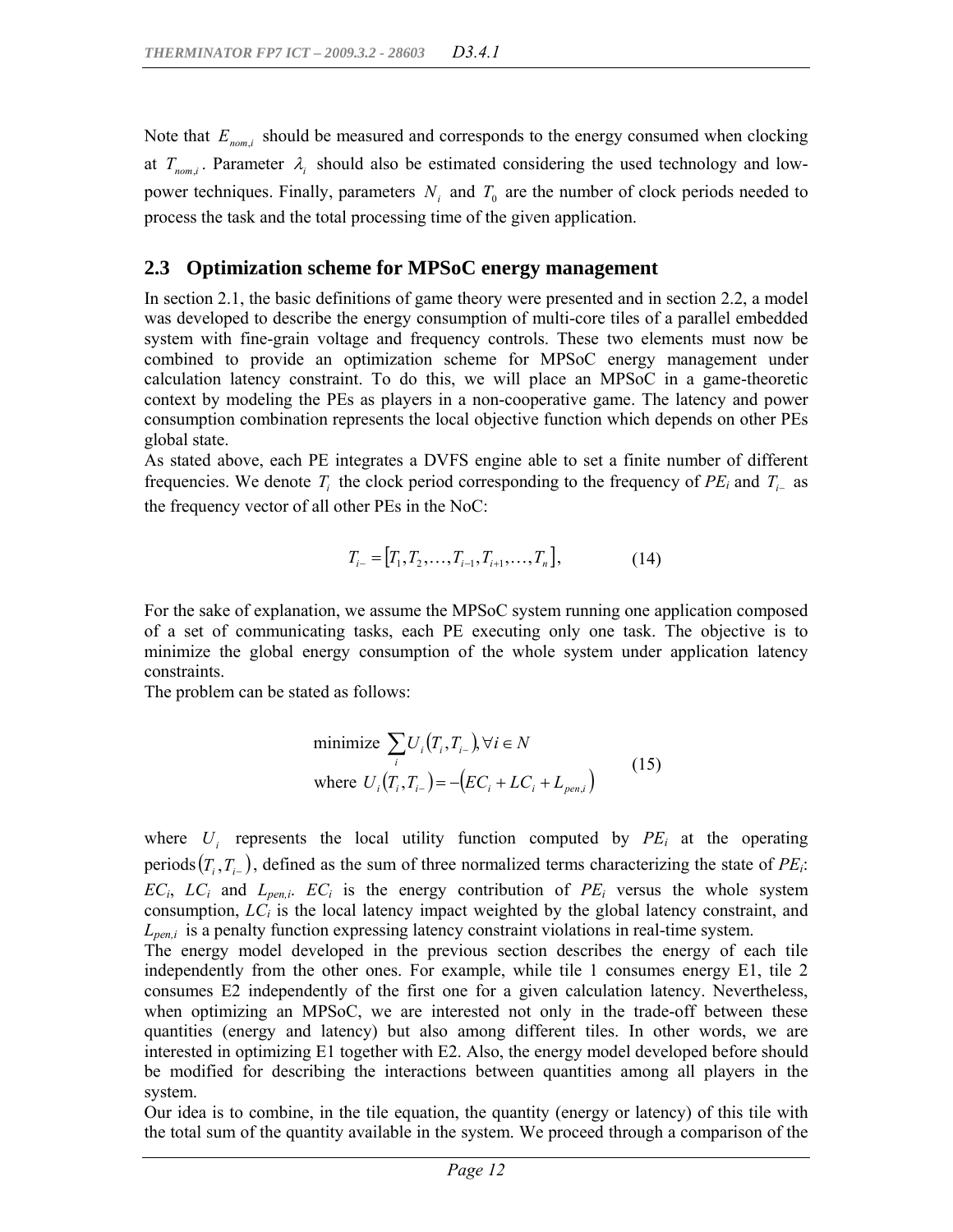Note that  $E_{nom,i}$  should be measured and corresponds to the energy consumed when clocking at  $T_{nom,i}$ . Parameter  $\lambda_i$  should also be estimated considering the used technology and lowpower techniques. Finally, parameters  $N_i$  and  $T_0$  are the number of clock periods needed to process the task and the total processing time of the given application.

#### **2.3 Optimization scheme for MPSoC energy management**

In section 2.1, the basic definitions of game theory were presented and in section 2.2, a model was developed to describe the energy consumption of multi-core tiles of a parallel embedded system with fine-grain voltage and frequency controls. These two elements must now be combined to provide an optimization scheme for MPSoC energy management under calculation latency constraint. To do this, we will place an MPSoC in a game-theoretic context by modeling the PEs as players in a non-cooperative game. The latency and power consumption combination represents the local objective function which depends on other PEs global state.

As stated above, each PE integrates a DVFS engine able to set a finite number of different frequencies. We denote  $T_i$  the clock period corresponding to the frequency of  $PE_i$  and  $T_{i-}$  as the frequency vector of all other PEs in the NoC:

$$
T_{i-} = [T_1, T_2, \dots, T_{i-1}, T_{i+1}, \dots, T_n], \tag{14}
$$

For the sake of explanation, we assume the MPSoC system running one application composed of a set of communicating tasks, each PE executing only one task. The objective is to minimize the global energy consumption of the whole system under application latency constraints.

The problem can be stated as follows:

minimize 
$$
\sum_{i} U_i(T_i, T_{i-}) \forall i \in N
$$
  
where  $U_i(T_i, T_{i-}) = -(EC_i + LC_i + L_{pen,i})$  (15)

where  $U_i$  represents the local utility function computed by  $PE_i$  at the operating periods  $(T_i, T_{i-})$ , defined as the sum of three normalized terms characterizing the state of *PE<sub>i</sub>*:  $EC_i$ ,  $LC_i$  and  $L_{pen,i}$ .  $EC_i$  is the energy contribution of  $PE_i$  versus the whole system consumption, *LC<sub>i</sub>* is the local latency impact weighted by the global latency constraint, and *Lpen,i* is a penalty function expressing latency constraint violations in real-time system.

The energy model developed in the previous section describes the energy of each tile independently from the other ones. For example, while tile 1 consumes energy E1, tile 2 consumes E2 independently of the first one for a given calculation latency. Nevertheless, when optimizing an MPSoC, we are interested not only in the trade-off between these quantities (energy and latency) but also among different tiles. In other words, we are interested in optimizing E1 together with E2. Also, the energy model developed before should be modified for describing the interactions between quantities among all players in the system.

Our idea is to combine, in the tile equation, the quantity (energy or latency) of this tile with the total sum of the quantity available in the system. We proceed through a comparison of the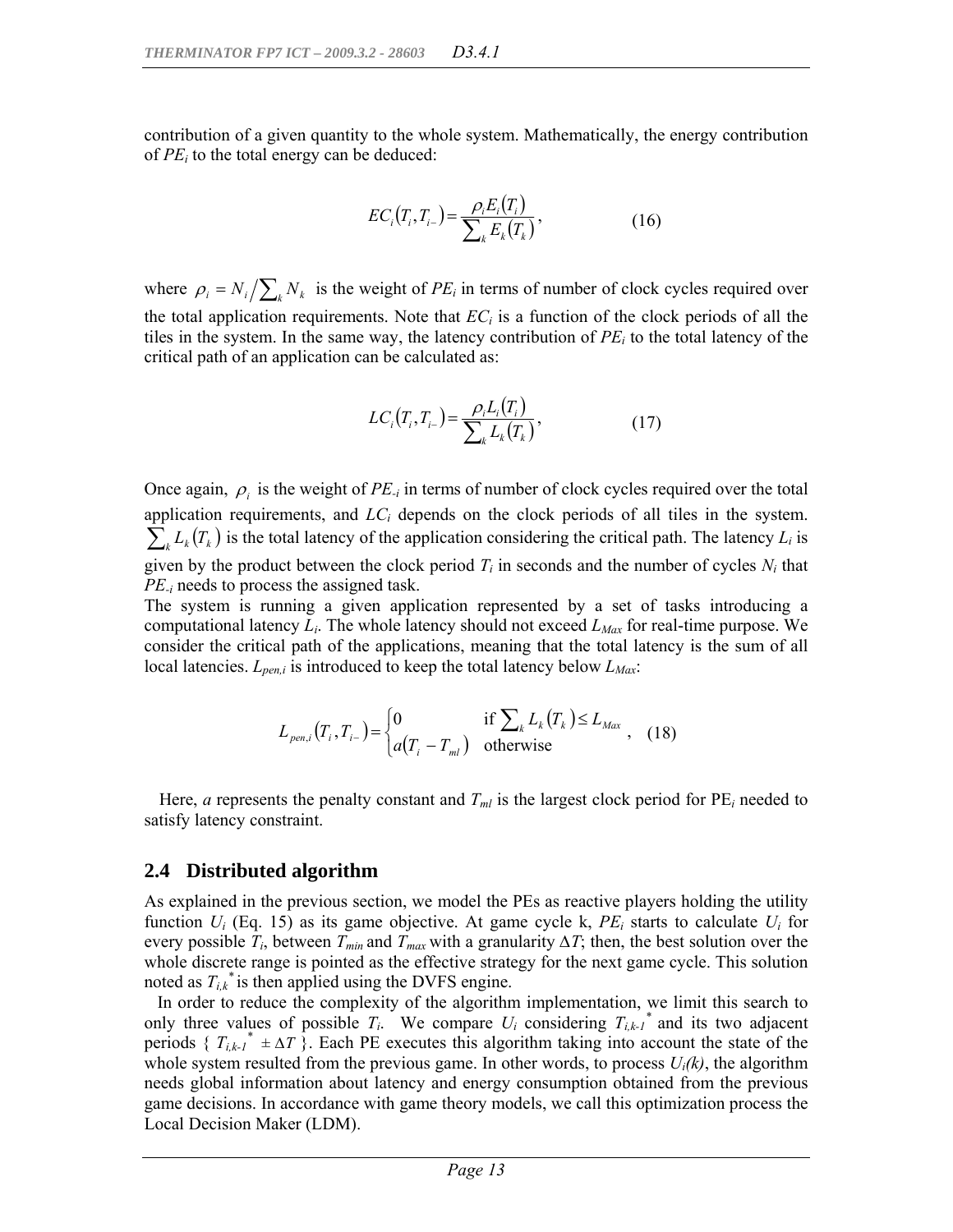contribution of a given quantity to the whole system. Mathematically, the energy contribution of  $PE<sub>i</sub>$  to the total energy can be deduced:

$$
EC_i(T_i, T_{i-}) = \frac{\rho_i E_i(T_i)}{\sum_k E_k(T_k)},
$$
\n(16)

where  $\rho_i = N_i / \sum_k N_k$  is the weight of *PE<sub>i</sub>* in terms of number of clock cycles required over the total application requirements. Note that  $EC<sub>i</sub>$  is a function of the clock periods of all the tiles in the system. In the same way, the latency contribution of  $PE<sub>i</sub>$  to the total latency of the critical path of an application can be calculated as:

$$
LC_i(T_i, T_{i-}) = \frac{\rho_i L_i(T_i)}{\sum_k L_k(T_k)},
$$
\n(17)

Once again,  $\rho_i$  is the weight of  $PE_{-i}$  in terms of number of clock cycles required over the total application requirements, and *LCi* depends on the clock periods of all tiles in the system.  $\sum_{k} L_{k}(T_{k})$  is the total latency of the application considering the critical path. The latency  $L_{i}$  is given by the product between the clock period  $T_i$  in seconds and the number of cycles  $N_i$  that *PE-i* needs to process the assigned task.

The system is running a given application represented by a set of tasks introducing a computational latency *Li*. The whole latency should not exceed *LMax* for real-time purpose. We consider the critical path of the applications, meaning that the total latency is the sum of all local latencies.  $L_{pen,i}$  is introduced to keep the total latency below  $L_{Max}$ :

$$
L_{pen,i}(T_i, T_{i-}) = \begin{cases} 0 & \text{if } \sum_{k} L_k(T_k) \le L_{Max} \\ a(T_i - T_{ml}) & \text{otherwise} \end{cases}
$$
 (18)

Here, *a* represents the penalty constant and  $T<sub>ml</sub>$  is the largest clock period for PE<sub>i</sub> needed to satisfy latency constraint.

#### **2.4 Distributed algorithm**

As explained in the previous section, we model the PEs as reactive players holding the utility function  $U_i$  (Eq. 15) as its game objective. At game cycle k,  $PE_i$  starts to calculate  $U_i$  for every possible  $T_i$ , between  $T_{min}$  and  $T_{max}$  with a granularity  $\Delta T$ ; then, the best solution over the whole discrete range is pointed as the effective strategy for the next game cycle. This solution noted as  $T_{i,k}$ <sup>\*</sup> is then applied using the DVFS engine.

 In order to reduce the complexity of the algorithm implementation, we limit this search to only three values of possible  $T_i$ . We compare  $U_i$  considering  $T_{i,k-1}$ <sup>\*</sup> and its two adjacent periods  $\{T_{i,k-1}^* \pm \Delta T\}$ . Each PE executes this algorithm taking into account the state of the whole system resulted from the previous game. In other words, to process  $U_i(k)$ , the algorithm needs global information about latency and energy consumption obtained from the previous game decisions. In accordance with game theory models, we call this optimization process the Local Decision Maker (LDM).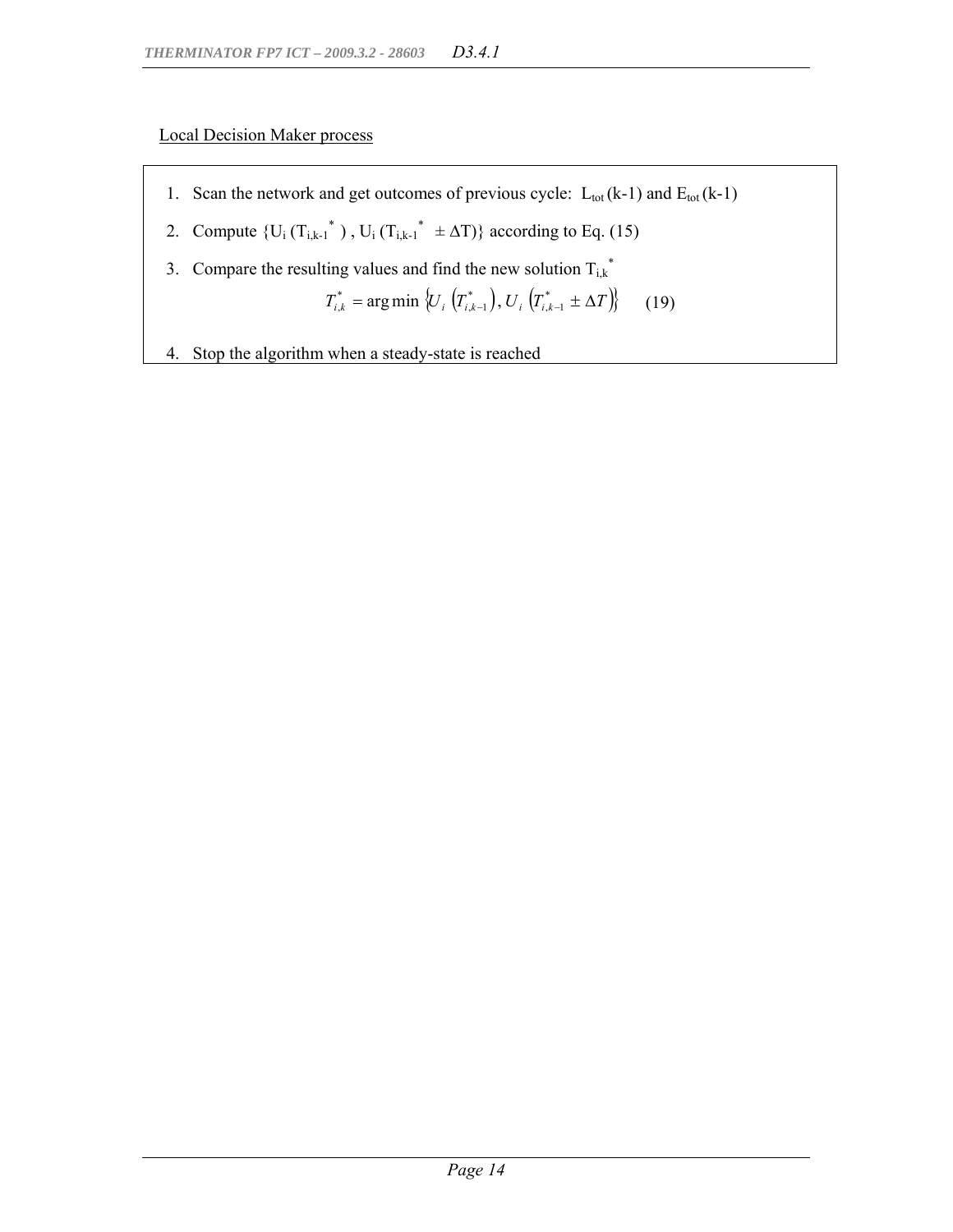#### Local Decision Maker process

- 1. Scan the network and get outcomes of previous cycle:  $L_{tot}(k-1)$  and  $E_{tot}(k-1)$
- 2. Compute  ${U_i (T_{i,k-1}^*)}$ ,  ${U_i (T_{i,k-1}^* + \Delta T)}$  according to Eq. (15)
- 3. Compare the resulting values and find the new solution  $T_{i,k}^*$

$$
T_{i,k}^* = \arg\min \{ U_i \left( T_{i,k-1}^* \right), U_i \left( T_{i,k-1}^* \pm \Delta T \right) \} \tag{19}
$$

4. Stop the algorithm when a steady-state is reached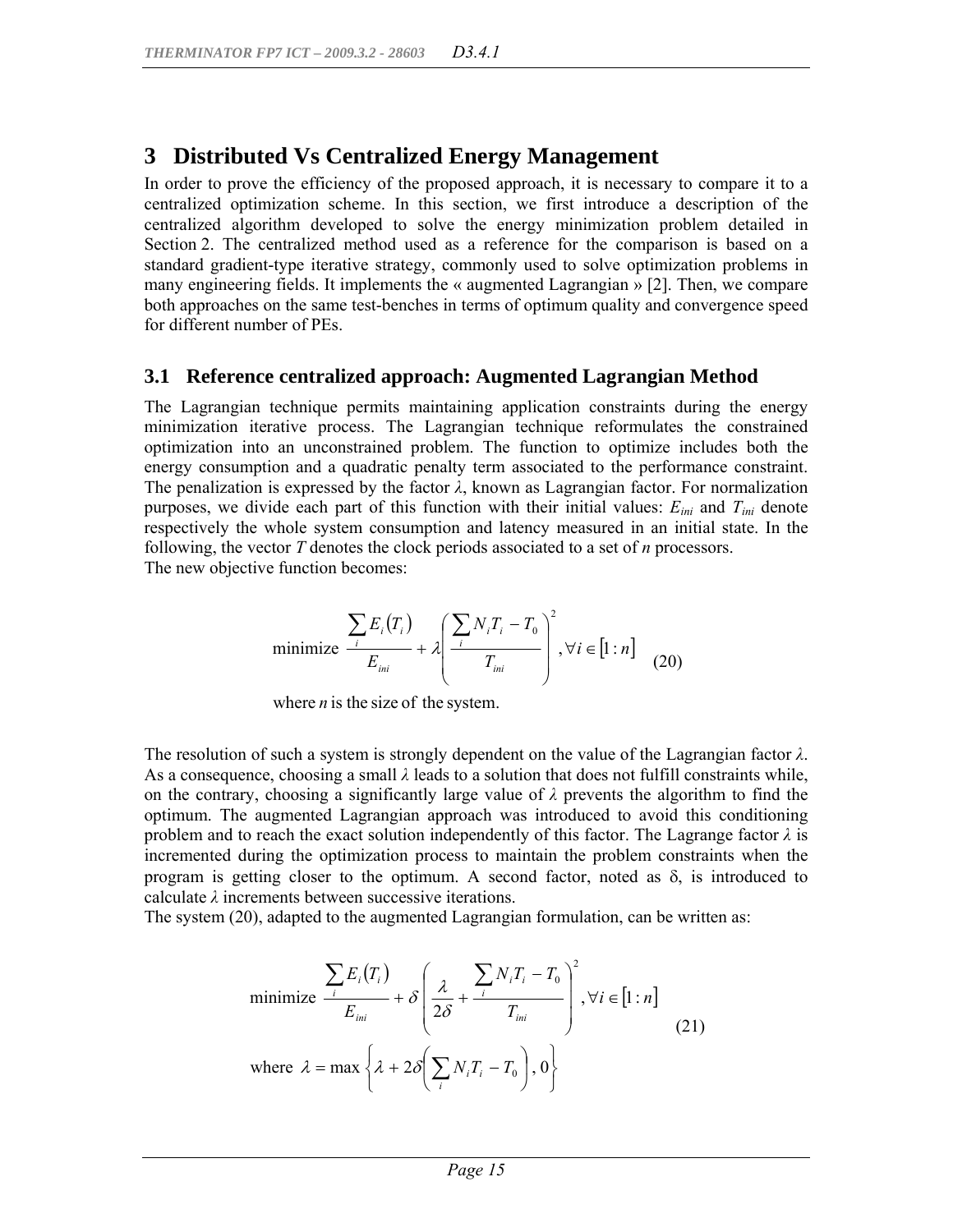### **3 Distributed Vs Centralized Energy Management**

In order to prove the efficiency of the proposed approach, it is necessary to compare it to a centralized optimization scheme. In this section, we first introduce a description of the centralized algorithm developed to solve the energy minimization problem detailed in Section 2. The centralized method used as a reference for the comparison is based on a standard gradient-type iterative strategy, commonly used to solve optimization problems in many engineering fields. It implements the « augmented Lagrangian » [2]. Then, we compare both approaches on the same test-benches in terms of optimum quality and convergence speed for different number of PEs.

#### **3.1 Reference centralized approach: Augmented Lagrangian Method**

The Lagrangian technique permits maintaining application constraints during the energy minimization iterative process. The Lagrangian technique reformulates the constrained optimization into an unconstrained problem. The function to optimize includes both the energy consumption and a quadratic penalty term associated to the performance constraint. The penalization is expressed by the factor *λ*, known as Lagrangian factor. For normalization purposes, we divide each part of this function with their initial values:  $E_{ini}$  and  $T_{ini}$  denote respectively the whole system consumption and latency measured in an initial state. In the following, the vector *T* denotes the clock periods associated to a set of *n* processors. The new objective function becomes:

minimize 
$$
\frac{\sum_{i} E_{i}(T_{i})}{E_{ini}} + \lambda \left( \frac{\sum_{i} N_{i}T_{i} - T_{0}}{T_{ini}} \right)^{2}, \forall i \in [1:n]
$$
 (20)

where  $n$  is the size of the system.

The resolution of such a system is strongly dependent on the value of the Lagrangian factor *λ*. As a consequence, choosing a small *λ* leads to a solution that does not fulfill constraints while, on the contrary, choosing a significantly large value of *λ* prevents the algorithm to find the optimum. The augmented Lagrangian approach was introduced to avoid this conditioning problem and to reach the exact solution independently of this factor. The Lagrange factor *λ* is incremented during the optimization process to maintain the problem constraints when the program is getting closer to the optimum. A second factor, noted as  $\delta$ , is introduced to calculate *λ* increments between successive iterations.

The system (20), adapted to the augmented Lagrangian formulation, can be written as:

minimize 
$$
\frac{\sum_{i} E_{i}(T_{i})}{E_{ini}} + \delta \left( \frac{\lambda}{2\delta} + \frac{\sum_{i} N_{i}T_{i} - T_{0}}{T_{ini}} \right)^{2}, \forall i \in [1:n]
$$
  
where  $\lambda = \max \left\{ \lambda + 2\delta \left( \sum_{i} N_{i}T_{i} - T_{0} \right), 0 \right\}$  (21)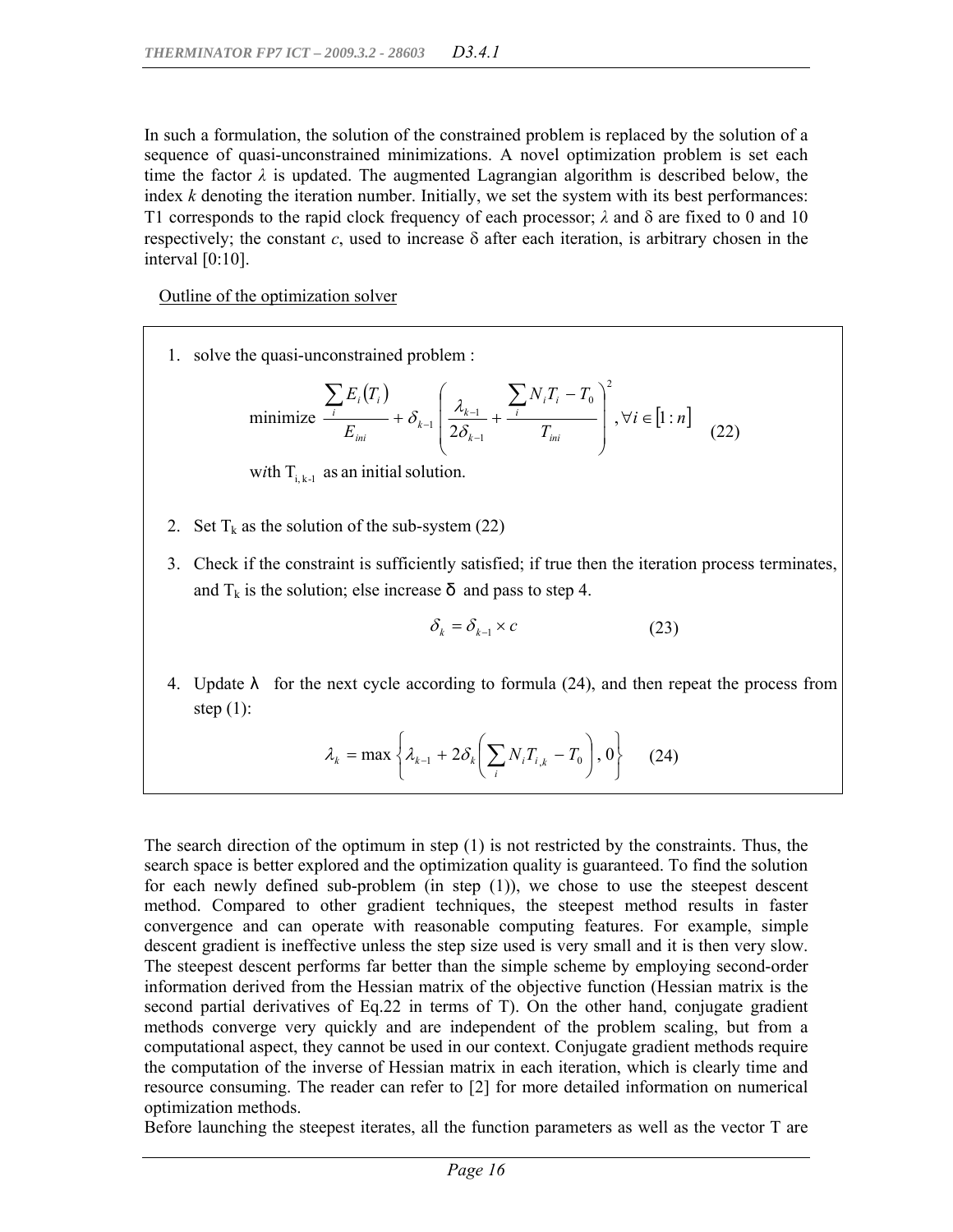In such a formulation, the solution of the constrained problem is replaced by the solution of a sequence of quasi-unconstrained minimizations. A novel optimization problem is set each time the factor  $\lambda$  is updated. The augmented Lagrangian algorithm is described below, the index *k* denoting the iteration number. Initially, we set the system with its best performances: T1 corresponds to the rapid clock frequency of each processor; *λ* and δ are fixed to 0 and 10 respectively; the constant *c*, used to increase δ after each iteration, is arbitrary chosen in the interval [0:10].

Outline of the optimization solver

1. solve the quasi-unconstrained problem :

minimize 
$$
\frac{\sum_{i} E_i(T_i)}{E_{\text{ini}}} + \delta_{k-1} \left( \frac{\lambda_{k-1}}{2\delta_{k-1}} + \frac{\sum_{i} N_i T_i - T_0}{T_{\text{ini}}} \right)^2, \forall i \in [1:n]
$$
 (22)

with  $T_{i,k-1}$  as an initial solution.

- 2. Set  $T_k$  as the solution of the sub-system (22)
- 3. Check if the constraint is sufficiently satisfied; if true then the iteration process terminates, and  $T_k$  is the solution; else increase  $\delta$  and pass to step 4.

$$
\delta_k = \delta_{k-1} \times c \tag{23}
$$

4. Update  $\lambda$  for the next cycle according to formula (24), and then repeat the process from step  $(1)$ :

$$
\lambda_k = \max \left\{ \lambda_{k-1} + 2\delta_k \left( \sum_i N_i T_{i,k} - T_0 \right), 0 \right\} \tag{24}
$$

The search direction of the optimum in step (1) is not restricted by the constraints. Thus, the search space is better explored and the optimization quality is guaranteed. To find the solution for each newly defined sub-problem (in step (1)), we chose to use the steepest descent method. Compared to other gradient techniques, the steepest method results in faster convergence and can operate with reasonable computing features. For example, simple descent gradient is ineffective unless the step size used is very small and it is then very slow. The steepest descent performs far better than the simple scheme by employing second-order information derived from the Hessian matrix of the objective function (Hessian matrix is the second partial derivatives of Eq.22 in terms of T). On the other hand, conjugate gradient methods converge very quickly and are independent of the problem scaling, but from a computational aspect, they cannot be used in our context. Conjugate gradient methods require the computation of the inverse of Hessian matrix in each iteration, which is clearly time and resource consuming. The reader can refer to [2] for more detailed information on numerical optimization methods.

Before launching the steepest iterates, all the function parameters as well as the vector T are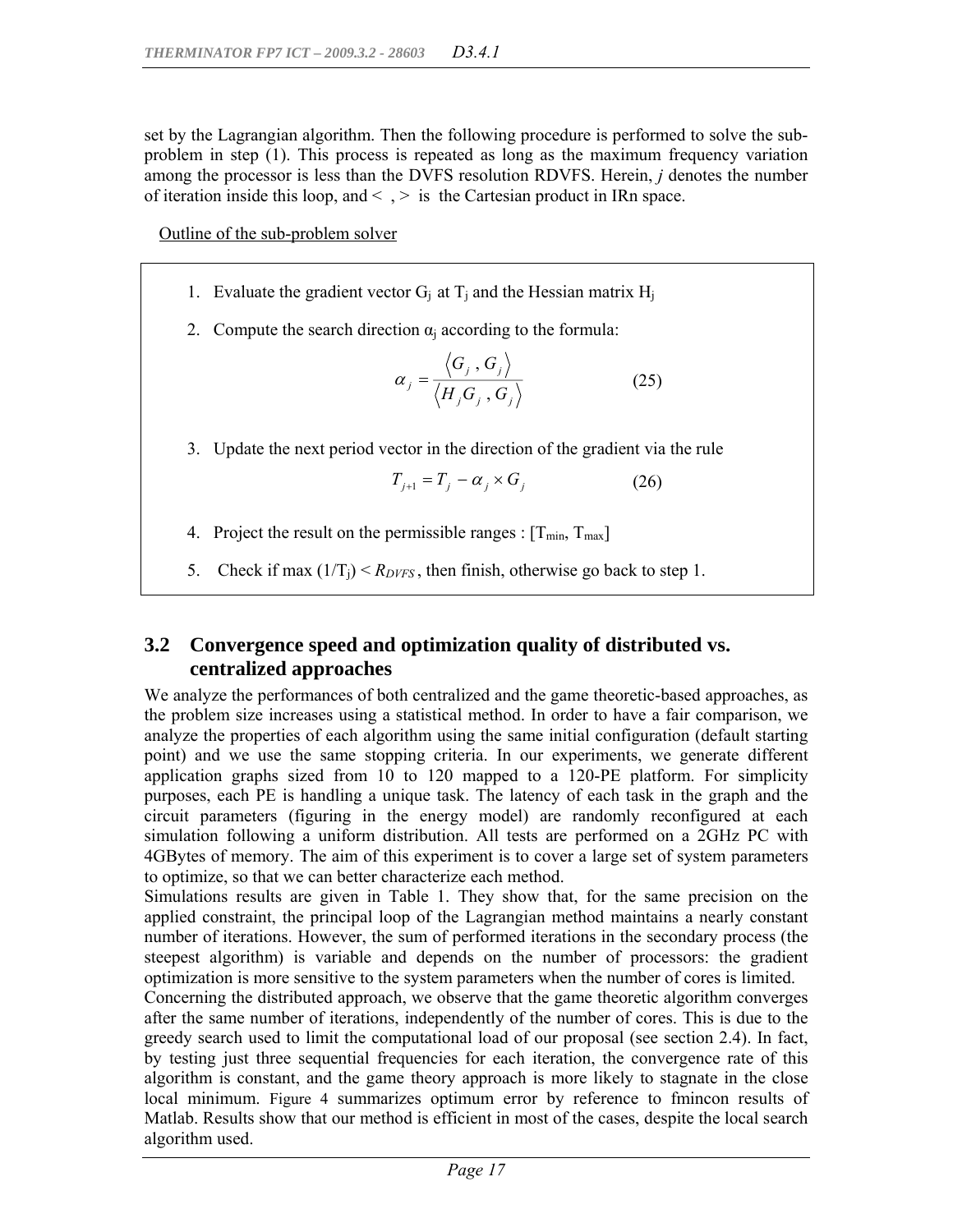set by the Lagrangian algorithm. Then the following procedure is performed to solve the subproblem in step (1). This process is repeated as long as the maximum frequency variation among the processor is less than the DVFS resolution RDVFS. Herein, *j* denotes the number of iteration inside this loop, and  $\lt$ ,  $>$  is the Cartesian product in IRn space.

Outline of the sub-problem solver

- 1. Evaluate the gradient vector  $G_i$  at  $T_i$  and the Hessian matrix  $H_i$
- 2. Compute the search direction  $\alpha_i$  according to the formula:

$$
\alpha_j = \frac{\langle G_j, G_j \rangle}{\langle H_j G_j, G_j \rangle}
$$
 (25)

3. Update the next period vector in the direction of the gradient via the rule

$$
T_{j+1} = T_j - \alpha_j \times G_j \tag{26}
$$

- 4. Project the result on the permissible ranges :  $[T_{min}, T_{max}]$
- 5. Check if max  $(1/T_i) < R_{DYFS}$ , then finish, otherwise go back to step 1.

#### **3.2 Convergence speed and optimization quality of distributed vs. centralized approaches**

We analyze the performances of both centralized and the game theoretic-based approaches, as the problem size increases using a statistical method. In order to have a fair comparison, we analyze the properties of each algorithm using the same initial configuration (default starting point) and we use the same stopping criteria. In our experiments, we generate different application graphs sized from 10 to 120 mapped to a 120-PE platform. For simplicity purposes, each PE is handling a unique task. The latency of each task in the graph and the circuit parameters (figuring in the energy model) are randomly reconfigured at each simulation following a uniform distribution. All tests are performed on a 2GHz PC with 4GBytes of memory. The aim of this experiment is to cover a large set of system parameters to optimize, so that we can better characterize each method.

Simulations results are given in Table 1. They show that, for the same precision on the applied constraint, the principal loop of the Lagrangian method maintains a nearly constant number of iterations. However, the sum of performed iterations in the secondary process (the steepest algorithm) is variable and depends on the number of processors: the gradient optimization is more sensitive to the system parameters when the number of cores is limited.

Concerning the distributed approach, we observe that the game theoretic algorithm converges after the same number of iterations, independently of the number of cores. This is due to the greedy search used to limit the computational load of our proposal (see section 2.4). In fact, by testing just three sequential frequencies for each iteration, the convergence rate of this algorithm is constant, and the game theory approach is more likely to stagnate in the close local minimum. Figure 4 summarizes optimum error by reference to fmincon results of Matlab. Results show that our method is efficient in most of the cases, despite the local search algorithm used.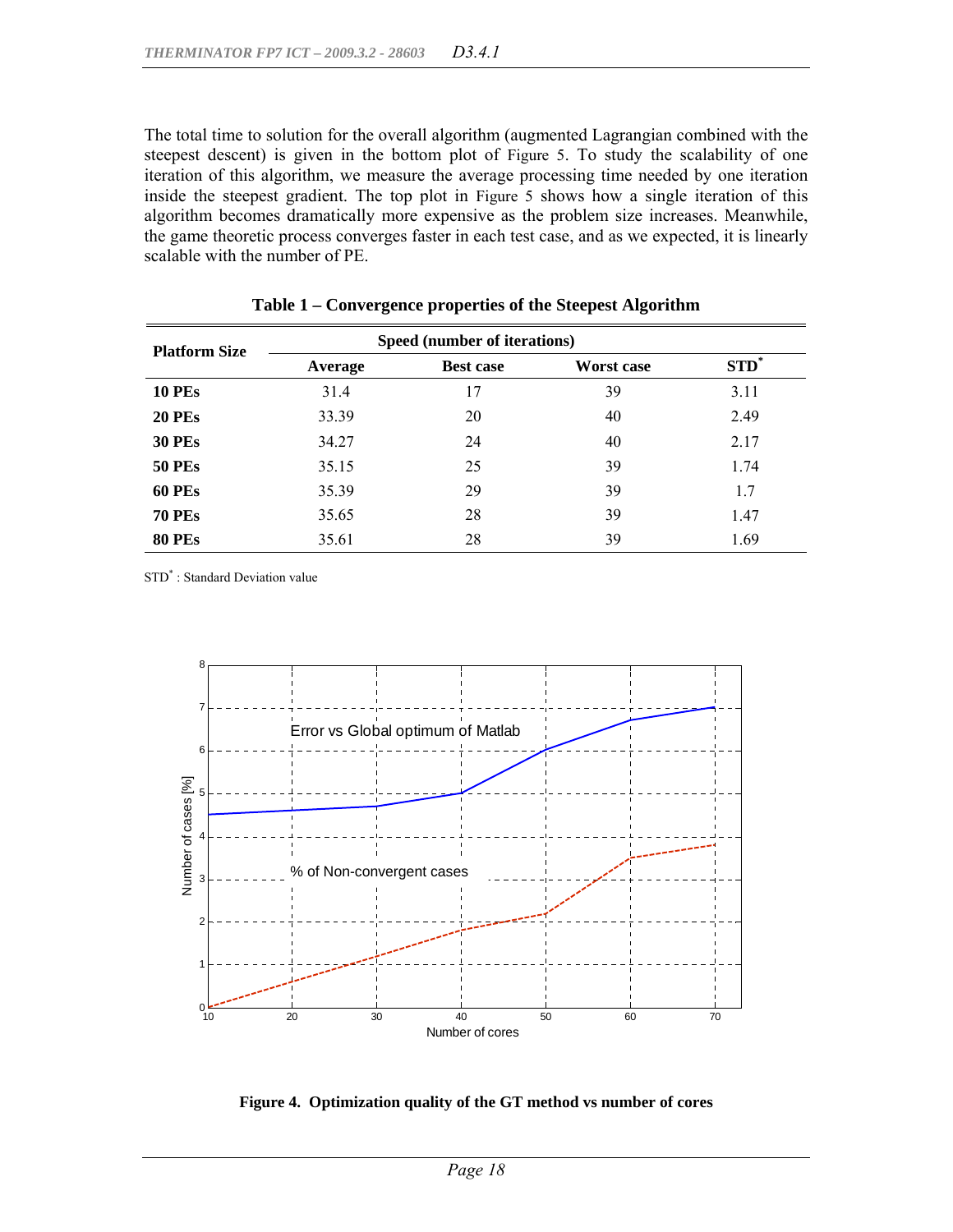The total time to solution for the overall algorithm (augmented Lagrangian combined with the steepest descent) is given in the bottom plot of Figure 5. To study the scalability of one iteration of this algorithm, we measure the average processing time needed by one iteration inside the steepest gradient. The top plot in Figure 5 shows how a single iteration of this algorithm becomes dramatically more expensive as the problem size increases. Meanwhile, the game theoretic process converges faster in each test case, and as we expected, it is linearly scalable with the number of PE.

| <b>Platform Size</b> | Speed (number of iterations) |                  |                   |         |
|----------------------|------------------------------|------------------|-------------------|---------|
|                      | Average                      | <b>Best case</b> | <b>Worst case</b> | $STD^*$ |
| <b>10 PEs</b>        | 31.4                         | 17               | 39                | 3.11    |
| <b>20 PEs</b>        | 33.39                        | 20               | 40                | 2.49    |
| <b>30 PEs</b>        | 34.27                        | 24               | 40                | 2.17    |
| <b>50 PEs</b>        | 35.15                        | 25               | 39                | 1.74    |
| <b>60 PEs</b>        | 35.39                        | 29               | 39                | 1.7     |
| <b>70 PEs</b>        | 35.65                        | 28               | 39                | 1.47    |
| <b>80 PEs</b>        | 35.61                        | 28               | 39                | 1.69    |

**Table 1 – Convergence properties of the Steepest Algorithm** 

STD\* : Standard Deviation value



**Figure 4. Optimization quality of the GT method vs number of cores**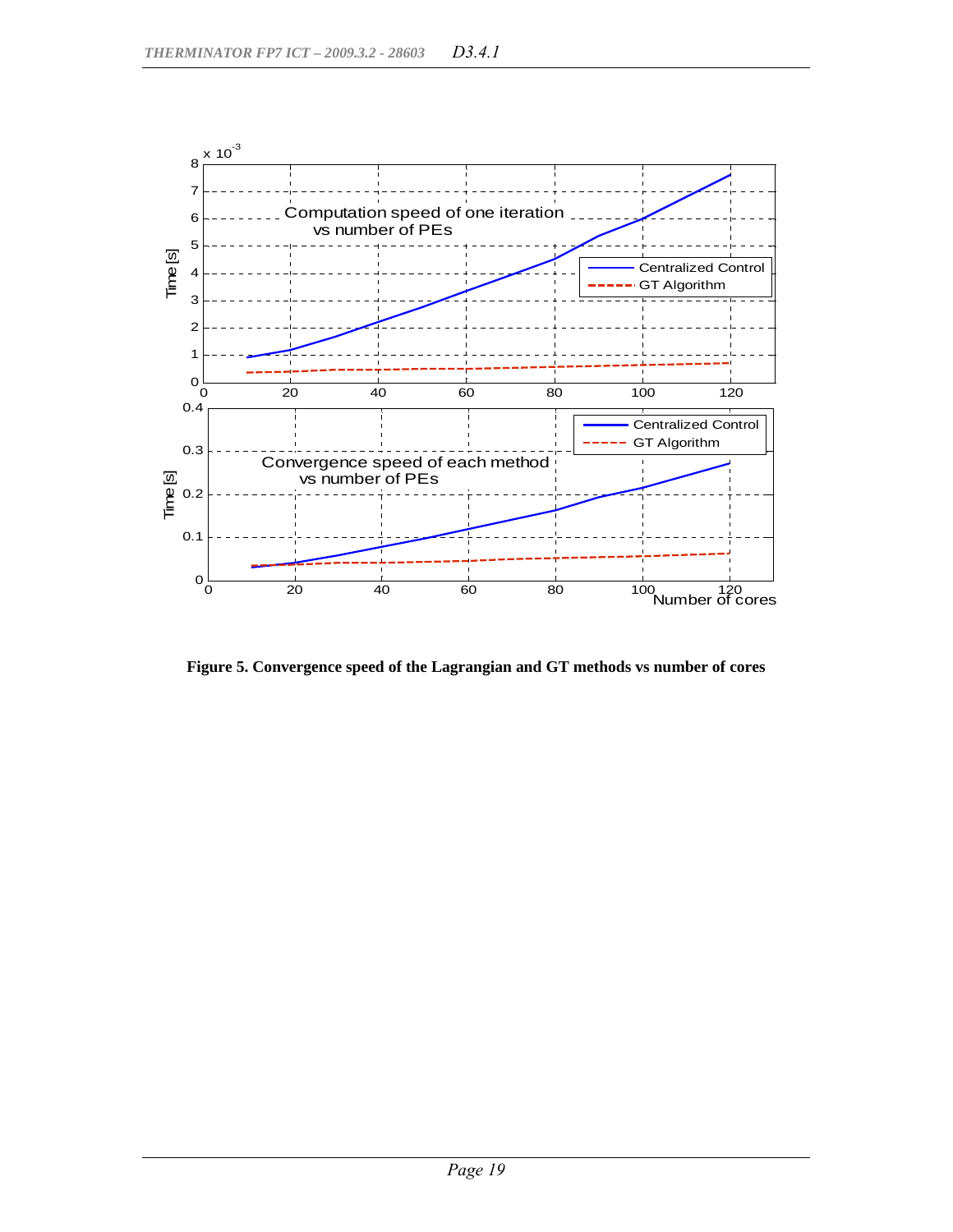

**Figure 5. Convergence speed of the Lagrangian and GT methods vs number of cores**